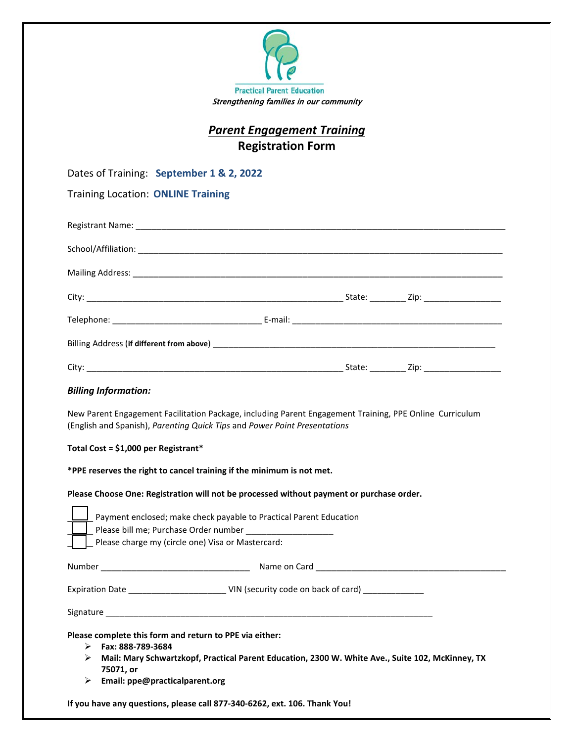

# *Parent Engagement Training* **Registration Form**

Dates of Training: **September 1 & 2, 2022** 

Training Location: **ONLINE Training**

|  | State: | _Zip: ____________________ |  |
|--|--------|----------------------------|--|

### *Billing Information:*

New Parent Engagement Facilitation Package, including Parent Engagement Training, PPE Online Curriculum (English and Spanish), *Parenting Quick Tips* and *Power Point Presentations*

#### **Total Cost = \$1,000 per Registrant\***

**\*PPE reserves the right to cancel training if the minimum is not met.**

#### **Please Choose One: Registration will not be processed without payment or purchase order.**

|             | Payment enclosed; make check payable to Practical Parent Education<br>Please bill me; Purchase Order number<br>Please charge my (circle one) Visa or Mastercard:                                                                |
|-------------|---------------------------------------------------------------------------------------------------------------------------------------------------------------------------------------------------------------------------------|
| Number      |                                                                                                                                                                                                                                 |
|             |                                                                                                                                                                                                                                 |
|             | Signature and the state of the state of the state of the state of the state of the state of the state of the state of the state of the state of the state of the state of the state of the state of the state of the state of   |
| ⋗<br>➤<br>➤ | Please complete this form and return to PPE via either:<br>Fax: 888-789-3684<br>Mail: Mary Schwartzkopf, Practical Parent Education, 2300 W. White Ave., Suite 102, McKinney, TX<br>75071, or<br>Email: ppe@practicalparent.org |

**If you have any questions, please call 877-340-6262, ext. 106. Thank You!**